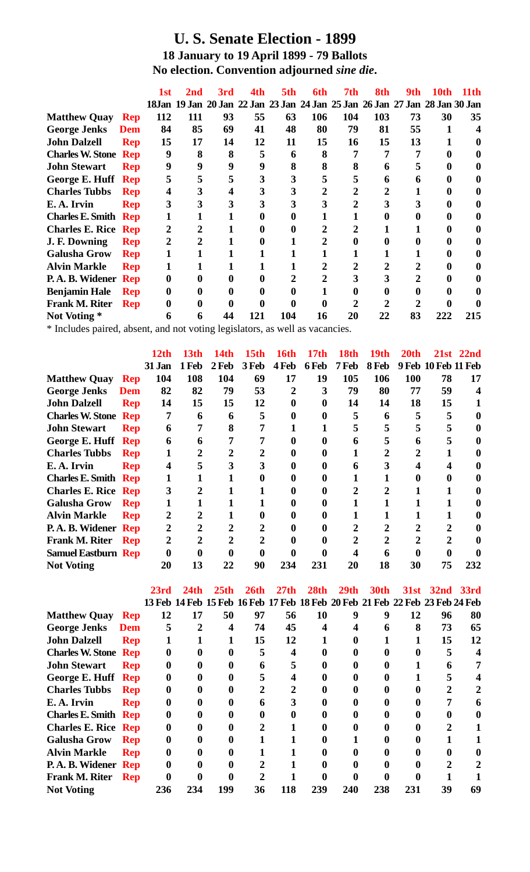## **U. S. Senate Election - 1899 18 January to 19 April 1899 - 79 Ballots No election. Convention adjourned** *sine die***.**

|                             |            | 1st      | 2nd | 3rd | 4th | 5th | 6th | 7th            | 8th | 9th.                                                                        | 10th | 11 th |
|-----------------------------|------------|----------|-----|-----|-----|-----|-----|----------------|-----|-----------------------------------------------------------------------------|------|-------|
|                             |            |          |     |     |     |     |     |                |     | 18Jan 19 Jan 20 Jan 22 Jan 23 Jan 24 Jan 25 Jan 26 Jan 27 Jan 28 Jan 30 Jan |      |       |
| <b>Matthew Quay</b>         | <b>Rep</b> | 112      | 111 | 93  | 55  | 63  | 106 | 104            | 103 | 73                                                                          | 30   | 35    |
| <b>George Jenks</b>         | Dem        | 84       | 85  | 69  | 41  | 48  | 80  | 79             | 81  | 55                                                                          |      | 4     |
| <b>John Dalzell</b>         | <b>Rep</b> | 15       | 17  | 14  | 12  | 11  | 15  | 16             | 15  | 13                                                                          |      | 0     |
| <b>Charles W. Stone Rep</b> |            | 9        | 8   | 8   | 5   | 6   |     |                | 7   | 7                                                                           |      |       |
| <b>John Stewart</b>         | <b>Rep</b> | 9        | 9   | 9   | 9   | 8   | 8   | 8              | 6   |                                                                             |      |       |
| George E. Huff Rep          |            | 5        | 5   |     | 3   | 3   |     | 5              | 6   |                                                                             |      |       |
| <b>Charles Tubbs</b>        | <b>Rep</b> | 4        | 3   |     | 3   | 3   |     | $\overline{2}$ |     |                                                                             |      |       |
| E.A. Irvin                  | <b>Rep</b> | 3        |     |     | 3   |     |     | 2              |     |                                                                             |      |       |
| <b>Charles E. Smith Rep</b> |            | 1        |     |     | 0   |     |     |                |     |                                                                             |      |       |
| <b>Charles E. Rice Rep</b>  |            | 2        |     |     | 0   |     |     | $\overline{2}$ |     |                                                                             |      |       |
| J. F. Downing               | <b>Rep</b> | 2        |     |     | 0   |     |     |                |     |                                                                             |      |       |
| <b>Galusha Grow</b>         | <b>Rep</b> | 1        |     |     |     |     |     |                |     |                                                                             |      |       |
| <b>Alvin Markle</b>         | <b>Rep</b> | 1        |     |     |     |     |     | $\overline{2}$ |     |                                                                             |      |       |
| P.A.B. Widener Rep          |            | $\bf{0}$ |     |     | 0   |     |     | 3              | 3   |                                                                             |      |       |
| <b>Benjamin Hale</b>        | Rep        | 0        |     |     | 0   |     |     |                |     |                                                                             |      |       |
| Frank M. Riter              | <b>Rep</b> | 0        |     |     |     |     |     | $\mathbf{2}$   |     |                                                                             |      |       |
| Not Voting *                |            | 6        | 6   | 44  | 121 | 104 | 16  | 20             | 22  | 83                                                                          | 222  | 215   |

\* Includes paired, absent, and not voting legislators, as well as vacancies.

|                             |            | 12th           | 13th  | 14th  | 15th  | 16th           | 17th  | 18th  | 19th  | 20th       |                     | 21st 22nd   |
|-----------------------------|------------|----------------|-------|-------|-------|----------------|-------|-------|-------|------------|---------------------|-------------|
|                             |            | <b>31 Jan</b>  | 1 Feb | 2 Feb | 3 Feb | 4 Feb          | 6 Feb | 7 Feb | 8 Feb |            | 9 Feb 10 Feb 11 Feb |             |
| <b>Matthew Quay</b>         | <b>Rep</b> | 104            | 108   | 104   | 69    | 17             | 19    | 105   | 106   | <b>100</b> | 78                  | 17          |
| <b>George Jenks</b>         | Dem        | 82             | 82    | 79    | 53    | $\overline{2}$ | 3     | 79    | 80    | 77         | 59                  |             |
| <b>John Dalzell</b>         | <b>Rep</b> | 14             | 15    | 15    | 12    | 0              | 0     | 14    | 14    | 18         | 15                  |             |
| <b>Charles W. Stone Rep</b> |            | $\overline{7}$ | 6     | 6     | 5     |                |       | 5     | 6     | 5          | 5                   | 0           |
| <b>John Stewart</b>         | <b>Rep</b> | 6              |       | 8     |       |                |       |       | 5     |            |                     | 0           |
| George E. Huff Rep          |            | 6              | 6     |       |       |                |       | 6     | 5     |            |                     | 0           |
| <b>Charles Tubbs</b>        | <b>Rep</b> |                | 2     |       | 2     |                |       |       |       |            |                     | 0           |
| E.A. Irvin                  | <b>Rep</b> | 4              | 5     |       | 3     | 0              |       | 6     | 3     |            |                     | 0           |
| <b>Charles E. Smith Rep</b> |            |                |       |       | 0     |                |       |       |       |            |                     | 0           |
| <b>Charles E. Rice Rep</b>  |            | 3              |       |       |       |                |       | 2     |       |            |                     | 0           |
| <b>Galusha Grow</b>         | <b>Rep</b> |                |       |       |       |                |       |       |       |            |                     | $\mathbf 0$ |
| <b>Alvin Markle</b>         | <b>Rep</b> | 2              |       |       | 0     |                |       |       |       |            |                     | 0           |
| P.A. B. Widener Rep         |            | 2              |       |       |       |                |       |       |       |            |                     |             |
| <b>Frank M. Riter</b>       | Rep        | 2              | 2     |       | 2     |                |       | 2     | 2     |            | 2                   |             |
| <b>Samuel Eastburn Rep</b>  |            |                |       |       |       |                |       |       | 6     |            |                     |             |
| <b>Not Voting</b>           |            | 20             | 13    | 22    | 90    | 234            | 231   | 20    | 18    | 30         | 75                  | 232         |

|                             |            | 23rd             | 24th                                                                         | 25 <sub>th</sub> | 26th | 27th | 28 <sub>th</sub> | 29 <sub>th</sub> | <b>30th</b> |     | 31st 32nd 33rd |    |
|-----------------------------|------------|------------------|------------------------------------------------------------------------------|------------------|------|------|------------------|------------------|-------------|-----|----------------|----|
|                             |            |                  | 13 Feb 14 Feb 15 Feb 16 Feb 17 Feb 18 Feb 20 Feb 21 Feb 22 Feb 23 Feb 24 Feb |                  |      |      |                  |                  |             |     |                |    |
| <b>Matthew Quay</b>         | <b>Rep</b> | 12               | 17                                                                           | 50               | 97   | 56   | 10               | 9                | 9           | 12  | 96             | 80 |
| <b>George Jenks</b>         | Dem        | 5                | 2                                                                            |                  | 74   | 45   |                  |                  | 6           | 8   | 73             | 65 |
| <b>John Dalzell</b>         | <b>Rep</b> |                  |                                                                              |                  | 15   | 12   |                  |                  |             |     | 15             | 12 |
| <b>Charles W. Stone Rep</b> |            | $\boldsymbol{0}$ |                                                                              |                  | 5    |      |                  |                  |             |     | 5              | 4  |
| <b>John Stewart</b>         | <b>Rep</b> | 0                |                                                                              |                  | 6    |      |                  |                  |             |     |                |    |
| George E. Huff Rep          |            | $\bf{0}$         |                                                                              |                  | 5    | 4    |                  |                  |             |     |                |    |
| <b>Charles Tubbs</b>        | <b>Rep</b> | $\bf{0}$         |                                                                              |                  | 2    |      |                  |                  |             |     |                |    |
| E.A. Irvin                  | <b>Rep</b> | $\bf{0}$         |                                                                              |                  | 6    |      |                  |                  |             |     |                | 6  |
| <b>Charles E. Smith Rep</b> |            | 0                |                                                                              |                  |      |      |                  |                  |             |     |                | 0  |
| <b>Charles E. Rice Rep</b>  |            | 0                |                                                                              |                  |      |      |                  |                  |             |     | 2              |    |
| <b>Galusha Grow</b>         | Rep        | $\bf{0}$         |                                                                              |                  |      |      |                  |                  |             |     |                |    |
| <b>Alvin Markle</b>         | <b>Rep</b> | $\bf{0}$         |                                                                              |                  |      |      |                  |                  |             |     |                | 0  |
| P.A.B. Widener Rep          |            | 0                |                                                                              |                  |      |      |                  |                  |             |     | 2              |    |
| <b>Frank M. Riter</b>       | <b>Rep</b> |                  |                                                                              |                  | 2    |      |                  |                  |             |     |                |    |
| <b>Not Voting</b>           |            | 236              | 234                                                                          | 199              | 36   | 118  | 239              | 240              | 238         | 231 | 39             | 69 |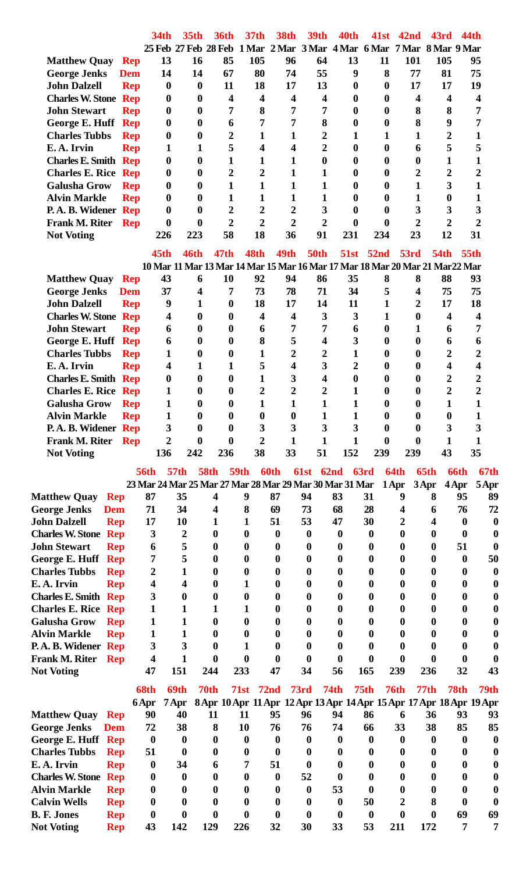|                                    |            | <b>34th</b>      | 35 <sub>th</sub>        | <b>36th</b>                                             | 37 <sub>th</sub>        | <b>38th</b>      | <b>39th</b>             | 40th             | 41st             | 42 <sub>nd</sub>                                                             | 43rd                    | 44th        |                |
|------------------------------------|------------|------------------|-------------------------|---------------------------------------------------------|-------------------------|------------------|-------------------------|------------------|------------------|------------------------------------------------------------------------------|-------------------------|-------------|----------------|
|                                    |            |                  | 25 Feb 27 Feb 28 Feb    |                                                         |                         |                  |                         |                  |                  | 1 Mar 2 Mar 3 Mar 4 Mar 6 Mar 7 Mar 8 Mar 9 Mar                              |                         |             |                |
| <b>Matthew Quay</b>                | <b>Rep</b> | 13               | 16                      | 85                                                      | 105                     | 96               | 64                      | 13               | 11               | 101                                                                          | 105                     |             | 95             |
| <b>George Jenks</b>                | <b>Dem</b> | 14               | 14                      | 67                                                      | 80                      | 74               | 55                      | 9                | 8                | 77                                                                           | 81                      |             | 75             |
| <b>John Dalzell</b>                | <b>Rep</b> | $\boldsymbol{0}$ | $\boldsymbol{0}$        | 11                                                      | 18                      | 17               | 13                      | $\boldsymbol{0}$ | $\boldsymbol{0}$ | 17                                                                           | 17                      |             | 19             |
| <b>Charles W. Stone Rep</b>        |            | 0                | $\boldsymbol{0}$        | 4                                                       | $\overline{\mathbf{4}}$ | 4                | $\overline{\mathbf{4}}$ | $\boldsymbol{0}$ | $\boldsymbol{0}$ | 4                                                                            | $\overline{\mathbf{4}}$ |             | 4              |
| <b>John Stewart</b>                | <b>Rep</b> | 0                | $\boldsymbol{0}$        | 7                                                       | 8                       | 7                | 7                       | $\boldsymbol{0}$ | $\bf{0}$         | 8                                                                            | 8                       |             | 7              |
| George E. Huff Rep                 |            | 0                | $\boldsymbol{0}$        | 6                                                       | 7                       | 7                | 8                       | $\boldsymbol{0}$ | $\boldsymbol{0}$ | 8                                                                            | 9                       |             | 7              |
| <b>Charles Tubbs</b>               | <b>Rep</b> | 0                | $\boldsymbol{0}$        | 2                                                       | 1                       | 1                | $\overline{2}$          | 1                | 1                | 1                                                                            | $\overline{2}$          |             | 1              |
| E.A. Irvin                         | <b>Rep</b> | 1                | 1                       | 5                                                       | $\overline{\mathbf{4}}$ | 4                | $\overline{2}$          | $\boldsymbol{0}$ | $\boldsymbol{0}$ | 6                                                                            | 5                       |             | 5              |
| <b>Charles E. Smith Rep</b>        |            | $\boldsymbol{0}$ | $\boldsymbol{0}$        | 1                                                       | 1                       | 1                | $\boldsymbol{0}$        | $\boldsymbol{0}$ | $\boldsymbol{0}$ | $\boldsymbol{0}$                                                             | 1                       |             | $\mathbf{1}$   |
| <b>Charles E. Rice Rep</b>         |            | 0                | $\boldsymbol{0}$        | 2                                                       | $\overline{2}$          | 1                | $\mathbf{1}$            | 0                | $\bf{0}$         | 2                                                                            | $\overline{2}$          |             | $\overline{2}$ |
| <b>Galusha Grow</b>                | <b>Rep</b> | 0                | $\boldsymbol{0}$        | 1                                                       | $\mathbf{1}$            | 1                | 1                       | $\boldsymbol{0}$ | $\boldsymbol{0}$ | 1                                                                            | 3                       |             | $\mathbf{1}$   |
| <b>Alvin Markle</b>                | <b>Rep</b> | 0                | $\boldsymbol{0}$        | 1                                                       | 1                       | 1                | 1                       | $\boldsymbol{0}$ | $\boldsymbol{0}$ | 1                                                                            | $\boldsymbol{0}$        |             | 1              |
| P.A. B. Widener Rep                |            | $\bf{0}$         | $\boldsymbol{0}$        | $\overline{2}$                                          | $\overline{2}$          | $\overline{2}$   | 3                       | $\boldsymbol{0}$ | $\bf{0}$         | 3                                                                            | 3                       |             | 3              |
| <b>Frank M. Riter</b>              | <b>Rep</b> | 0                | $\boldsymbol{0}$        | $\overline{2}$                                          | $\overline{2}$          | $\overline{2}$   | $\overline{2}$          | $\boldsymbol{0}$ | $\boldsymbol{0}$ | $\overline{2}$                                                               | $\overline{2}$          |             | $\overline{2}$ |
| <b>Not Voting</b>                  |            | 226              | 223                     | 58                                                      | 18                      | 36               | 91                      | 231              | 234              | 23                                                                           | 12                      |             | 31             |
|                                    |            | 45 <sub>th</sub> | <b>46th</b>             | 47 <sub>th</sub>                                        | 48th                    | 49th             | <b>50th</b>             | <b>51st</b>      | 52 <sub>nd</sub> | 53rd                                                                         | <b>54th</b>             | <b>55th</b> |                |
|                                    |            |                  |                         |                                                         |                         |                  |                         |                  |                  | 10 Mar 11 Mar 13 Mar 14 Mar 15 Mar 16 Mar 17 Mar 18 Mar 20 Mar 21 Mar 22 Mar |                         |             |                |
| <b>Matthew Quay</b>                | <b>Rep</b> | 43               | 6                       | 10                                                      | 92                      | 94               | 86                      | 35               | 8                | 8                                                                            | 88                      |             | 93             |
| <b>George Jenks</b>                | <b>Dem</b> | 37               | $\overline{\mathbf{4}}$ | 7                                                       | 73                      | 78               | 71                      | 34               | 5                | $\overline{\mathbf{4}}$                                                      | 75                      |             | 75             |
| <b>John Dalzell</b>                |            | 9                | $\mathbf{1}$            | $\boldsymbol{0}$                                        | 18                      | 17               | 14                      | 11               | $\mathbf{1}$     | $\overline{2}$                                                               | 17                      |             | 18             |
| <b>Charles W. Stone Rep</b>        | <b>Rep</b> |                  | $\boldsymbol{0}$        | $\boldsymbol{0}$                                        | $\overline{\mathbf{4}}$ |                  | 3                       | 3                | 1                | $\boldsymbol{0}$                                                             | $\overline{\mathbf{4}}$ |             | 4              |
| <b>John Stewart</b>                |            | 4                | $\boldsymbol{0}$        |                                                         |                         | 4<br>7           | 7                       |                  | $\bf{0}$         |                                                                              |                         |             | 7              |
|                                    | <b>Rep</b> | 6                |                         | 0<br>$\boldsymbol{0}$                                   | 6<br>8                  | 5                | 4                       | 6<br>3           | $\boldsymbol{0}$ | 1                                                                            | 6                       |             |                |
| George E. Huff Rep                 |            | 6                | $\boldsymbol{0}$        |                                                         |                         |                  |                         |                  |                  | $\boldsymbol{0}$                                                             | 6                       |             | 6              |
| <b>Charles Tubbs</b>               | <b>Rep</b> | 1                | $\boldsymbol{0}$        | $\boldsymbol{0}$                                        | 1                       | 2                | $\boldsymbol{2}$        | 1                | $\boldsymbol{0}$ | $\boldsymbol{0}$                                                             | 2                       |             | 2              |
| E.A. Irvin                         | <b>Rep</b> | 4                | 1                       | 1                                                       | 5                       | 4                | $\overline{\mathbf{3}}$ | $\overline{2}$   | $\bf{0}$         | 0                                                                            | 4                       |             | 4              |
| <b>Charles E. Smith Rep</b>        |            | 0                | $\boldsymbol{0}$        | $\boldsymbol{0}$                                        | 1                       | 3                | 4                       | $\boldsymbol{0}$ | $\boldsymbol{0}$ | $\boldsymbol{0}$                                                             | $\overline{2}$          |             | 2              |
| <b>Charles E. Rice Rep</b>         |            | 1                | $\boldsymbol{0}$        | $\boldsymbol{0}$                                        | 2                       | $\overline{2}$   | 2                       | 1                | $\bf{0}$         | $\boldsymbol{0}$                                                             | $\overline{2}$          |             | $\overline{2}$ |
| <b>Galusha Grow</b>                | <b>Rep</b> | 1                | $\boldsymbol{0}$        | $\boldsymbol{0}$                                        | 1                       | 1                | $\mathbf{1}$            | 1                | 0                | $\boldsymbol{0}$                                                             | 1                       |             | $\mathbf{1}$   |
| <b>Alvin Markle</b>                | <b>Rep</b> | 1                | $\mathbf{0}$            | 0                                                       | $\boldsymbol{0}$        | $\bf{0}$         | 1                       | 1                | $\mathbf{0}$     | 0                                                                            | $\boldsymbol{0}$        |             | 1              |
| P.A. B. Widener Rep                |            | 3                | 0                       | 0                                                       | 3                       | 3                | 3                       | 3                | 0                | o                                                                            | 3                       |             | 3              |
| <b>Frank M. Riter</b>              | <b>Rep</b> | $\overline{2}$   | $\boldsymbol{0}$        | 0                                                       | $\overline{2}$          | 1                | 1                       | 1                | 0                | 0                                                                            | 1                       |             |                |
| <b>Not Voting</b>                  |            | 136              | 242                     | 236                                                     | 38                      | 33               | 51                      | 152              | 239              | 239                                                                          | 43                      |             | 35             |
|                                    |            | <b>56th</b>      | 57th                    | 58th                                                    | 59th                    | 60th             | 61st                    | 62nd             | 63rd             | 64th                                                                         | 65th                    | 66th        | 67th           |
|                                    |            |                  |                         | 23 Mar 24 Mar 25 Mar 27 Mar 28 Mar 29 Mar 30 Mar 31 Mar |                         |                  |                         |                  |                  | 1 Apr                                                                        | 3Apr                    | 4 Apr       | 5 Apr          |
| <b>Matthew Quay</b><br><b>Rep</b>  |            | 87               | 35                      | 4                                                       | 9                       | 87               | 94                      | 83               | 31               | 9                                                                            | 8                       | 95          | 89             |
| <b>George Jenks</b><br>Dem         |            | 71               | 34                      | 4                                                       | 8                       | 69               | 73                      | 68               | 28               | 4                                                                            | 6                       | 76          | 72             |
| <b>John Dalzell</b><br><b>Rep</b>  |            | 17               | 10                      | 1                                                       | 1                       | 51               | 53                      | 47               | 30               | 2                                                                            | 4                       | $\mathbf 0$ | 0              |
| <b>Charles W. Stone Rep</b>        |            | 3                | $\mathbf 2$             | 0                                                       | 0                       | $\boldsymbol{0}$ | 0                       | $\bf{0}$         | 0                | 0                                                                            | 0                       | 0           | 0              |
| <b>John Stewart</b><br><b>Rep</b>  |            | 6                | 5                       | 0                                                       | O                       | $\mathbf 0$      | 0                       | 0                | 0                | 0                                                                            | 0                       | 51          | 0              |
| George E. Huff Rep                 |            | 7                | 5                       | 0                                                       | o                       | 0                | 0                       | 0                | 0                | 0                                                                            | 0                       | $\bf{0}$    | 50             |
| <b>Charles Tubbs</b><br><b>Rep</b> |            | 2                | 1                       | 0                                                       | o                       | 0                | 0                       | 0                | 0                | 0                                                                            | 0                       | 0           | 0              |
| E.A. Irvin<br><b>Rep</b>           |            | 4                | 4                       | 0                                                       | 1                       | 0                | 0                       | 0                | 0                | 0                                                                            | 0                       | 0           | 0              |
| <b>Charles E. Smith Rep</b>        |            | 3                | 0                       | 0                                                       | 0                       | 0                | 0                       | 0                | 0                | 0                                                                            | 0                       | 0           |                |
| <b>Charles E. Rice Rep</b>         |            | 1                | 1                       | 1                                                       | 1                       | 0                | o                       | 0                | o                | 0                                                                            | o                       | 0           |                |
| <b>Galusha Grow</b><br><b>Rep</b>  |            | 1                | 1                       | 0                                                       | 0                       | 0                | o                       | 0                | o                | 0                                                                            | 0                       | 0           | 0              |
| <b>Alvin Markle</b><br><b>Rep</b>  |            | 1                | 1                       | 0                                                       | o                       | 0                | o                       | 0                | 0                | 0                                                                            | 0                       | 0           |                |
| P.A. B. Widener Rep                |            | 3                | 3                       | 0                                                       |                         | 0                | 0                       | 0                | 0                | 0                                                                            | 0                       | 0           | 0              |
| Frank M. Riter<br><b>Rep</b>       |            | 4                | 1                       | 0                                                       | 0                       | 0                | 0                       | 0                | 0                | 0                                                                            | 0                       | 0           | 0              |
| <b>Not Voting</b>                  |            | 47               | 151                     | 244                                                     | 233                     | 47               | 34                      | 56               | 165              | 239                                                                          | 236                     | 32          | 43             |
|                                    |            |                  |                         |                                                         |                         |                  |                         |                  |                  |                                                                              |                         |             |                |
|                                    |            | 68th             | 69th                    | 70th                                                    | 71st                    | 72 <sub>nd</sub> | 73rd                    | 74th             | 75 <sub>th</sub> | <b>76th</b>                                                                  | <b>77th</b>             | 78th        | 79th           |
|                                    |            | 6 Apr            | 7 Apr                   |                                                         |                         |                  |                         |                  |                  | 8 Apr 10 Apr 11 Apr 12 Apr 13 Apr 14 Apr 15 Apr 17 Apr 18 Apr 19 Apr         |                         |             |                |
| <b>Matthew Quay</b><br><b>Rep</b>  |            | 90               | 40                      | 11                                                      | 11                      | 95               | 96                      | 94               | 86               | 6                                                                            | 36                      | 93          | 93             |
| <b>George Jenks</b><br><b>Dem</b>  |            | 72               | 38                      | 8                                                       | 10                      | 76               | 76                      | 74               | 66               | 33                                                                           | 38                      | 85          | 85             |
| George E. Huff Rep                 |            | $\boldsymbol{0}$ | $\boldsymbol{0}$        | $\mathbf{0}$                                            | 0                       | $\mathbf{0}$     | 0                       | $\mathbf{0}$     | 0                | $\mathbf{0}$                                                                 | 0                       | 0           | 0              |
| <b>Charles Tubbs</b><br><b>Rep</b> |            | 51               | $\boldsymbol{0}$        | 0                                                       | 0                       | $\boldsymbol{0}$ | 0                       | 0                | 0                | 0                                                                            | 0                       | 0           |                |
| E.A. Irvin<br><b>Rep</b>           |            | $\boldsymbol{0}$ | 34                      | 6                                                       | 7                       | 51               | 0                       | 0                | o                | 0                                                                            | O                       | 0           | U              |
| <b>Charles W. Stone Rep</b>        |            | $\bf{0}$         | $\bf{0}$                | $\mathbf 0$                                             | 0                       | $\bf{0}$         | 52                      | $\mathbf 0$      | o                | 0                                                                            | 0                       | 0           | 0              |
| <b>Alvin Markle</b><br><b>Rep</b>  |            | 0                | 0                       | 0                                                       | o                       | $\bf{0}$         | $\bf{0}$                | 53               | 0                | 0                                                                            | 0                       | 0           |                |
| <b>Calvin Wells</b><br><b>Rep</b>  |            | 0                | 0                       | 0                                                       | 0                       | 0                | 0                       | 0                | 50               | 2                                                                            | 8                       | 0           | 0              |
| <b>B. F. Jones</b><br><b>Rep</b>   |            | $\boldsymbol{0}$ | $\boldsymbol{0}$        | $\boldsymbol{0}$                                        | $\boldsymbol{0}$        | $\boldsymbol{0}$ | $\boldsymbol{0}$        | $\boldsymbol{0}$ | $\boldsymbol{0}$ | $\boldsymbol{0}$                                                             | $\boldsymbol{0}$        | 69          | 69             |
| <b>Not Voting</b><br><b>Rep</b>    |            | 43               | 142                     | 129                                                     | 226                     | 32               | 30                      | 33               | 53               | 211                                                                          | 172                     | 7           | 7              |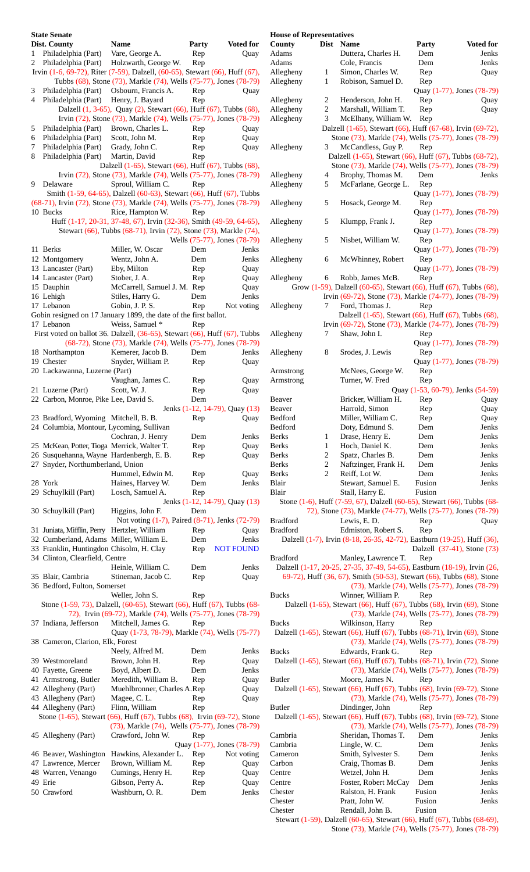|                | <b>State Senate</b>                          |                                                                                     |              |                                |
|----------------|----------------------------------------------|-------------------------------------------------------------------------------------|--------------|--------------------------------|
|                | <b>Dist. County</b>                          | <b>Name</b>                                                                         | <b>Party</b> | <b>Voted for</b>               |
| 1              | Philadelphia (Part) Vare, George A.          |                                                                                     | Rep          | Quay                           |
| 2              | Philadelphia (Part)                          | Holzwarth, George W. Rep                                                            |              |                                |
|                |                                              | Irvin (1-6, 69-72), Riter (7-59), Dalzell, (60-65), Stewart (66), Huff (67),        |              |                                |
|                |                                              | Tubbs (68), Stone (73), Markle (74), Wells (75-77), Jones (78-79)                   |              |                                |
| 3              | Philadelphia (Part) Osbourn, Francis A.      |                                                                                     | Rep          | Quay                           |
| $\overline{4}$ | Philadelphia (Part) Henry, J. Bayard         |                                                                                     | Rep          |                                |
|                |                                              | Dalzell (1, 3-65), Quay (2), Stewart (66), Huff (67), Tubbs (68),                   |              |                                |
|                |                                              | Irvin (72), Stone (73), Markle (74), Wells (75-77), Jones (78-79)                   |              |                                |
|                |                                              |                                                                                     |              |                                |
| 5              | Philadelphia (Part) Brown, Charles L.        |                                                                                     | Rep          | Quay                           |
| 6              | Philadelphia (Part) Scott, John M.           |                                                                                     | Rep          | Quay                           |
| 7              | Philadelphia (Part) Grady, John C.           |                                                                                     | Rep          | Quay                           |
| 8              | Philadelphia (Part) Martin, David            |                                                                                     | Rep          |                                |
|                |                                              | Dalzell (1-65), Stewart (66), Huff (67), Tubbs (68),                                |              |                                |
|                |                                              | Irvin (72), Stone (73), Markle (74), Wells (75-77), Jones (78-79)                   |              |                                |
| 9              | Delaware                                     | Sproul, William C.                                                                  | Rep          |                                |
|                |                                              | Smith (1-59, 64-65), Dalzell (60-63), Stewart (66), Huff (67), Tubbs                |              |                                |
|                |                                              | (68-71), Irvin (72), Stone (73), Markle (74), Wells (75-77), Jones (78-79)          |              |                                |
|                | 10 Bucks                                     | Rice, Hampton W.                                                                    | Rep          |                                |
|                |                                              |                                                                                     |              |                                |
|                |                                              | Huff (1-17, 20-31, 37-48, 67), Irvin (32-36), Smith (49-59, 64-65),                 |              |                                |
|                |                                              | Stewart (66), Tubbs (68-71), Irvin (72), Stone (73), Markle (74),                   |              |                                |
|                |                                              |                                                                                     |              | Wells (75-77), Jones (78-79)   |
|                | 11 Berks                                     | Miller, W. Oscar                                                                    | Dem          | Jenks                          |
|                | 12 Montgomery                                | Wentz, John A.                                                                      | Dem          | Jenks                          |
|                | 13 Lancaster (Part)                          | Eby, Milton                                                                         | Rep          | Quay                           |
|                | 14 Lancaster (Part)                          | Stober, J. A.                                                                       | Rep          | Quay                           |
|                |                                              |                                                                                     |              |                                |
|                | 15 Dauphin                                   | McCarrell, Samuel J. M. Rep                                                         |              | Quay                           |
|                | 16 Lehigh                                    | Stiles, Harry G.                                                                    | Dem          | Jenks                          |
|                | 17 Lebanon                                   | Gobin, J. P. S.                                                                     | Rep          | Not voting                     |
|                |                                              | Gobin resigned on 17 January 1899, the date of the first ballot.                    |              |                                |
|                | 17 Lebanon                                   | Weiss, Samuel *                                                                     | Rep          |                                |
|                |                                              | First voted on ballot 36. Dalzell, $(36-65)$ , Stewart $(66)$ , Huff $(67)$ , Tubbs |              |                                |
|                |                                              | (68-72), Stone (73), Markle (74), Wells (75-77), Jones (78-79)                      |              |                                |
|                |                                              |                                                                                     |              |                                |
|                | 18 Northampton                               | Kemerer, Jacob B.                                                                   | Dem          | Jenks                          |
|                | 19 Chester                                   | Snyder, William P.                                                                  | Rep          | Quay                           |
|                | 20 Lackawanna, Luzerne (Part)                |                                                                                     |              |                                |
|                |                                              | Vaughan, James C.                                                                   | Rep          | Quay                           |
|                | 21 Luzerne (Part)                            | Scott, W. J.                                                                        | Rep          | Quay                           |
|                | 22 Carbon, Monroe, Pike Lee, David S.        |                                                                                     | Dem          |                                |
|                |                                              |                                                                                     |              | Jenks (1-12, 14-79), Quay (13) |
|                |                                              |                                                                                     |              |                                |
|                |                                              | 23 Bradford, Wyoming Mitchell, B. B.                                                |              | Rep Quay                       |
|                | 24 Columbia, Montour, Lycoming, Sullivan     |                                                                                     |              |                                |
|                |                                              | Cochran, J. Henry                                                                   | Dem          | Jenks                          |
|                | 25 McKean, Potter, Tioga Merrick, Walter T.  |                                                                                     | Rep          | Quay                           |
|                | 26 Susquehanna, Wayne Hardenbergh, E. B.     |                                                                                     | Rep          | Quay                           |
|                | 27 Snyder, Northumberland, Union             |                                                                                     |              |                                |
|                |                                              | Hummel, Edwin M.                                                                    | Rep          | Quay                           |
|                | 28 York                                      | Haines, Harvey W.                                                                   | Dem          | Jenks                          |
|                |                                              |                                                                                     |              |                                |
|                | 29 Schuylkill (Part)                         | Losch, Samuel A.                                                                    | Rep          |                                |
|                |                                              |                                                                                     |              | Jenks (1-12, 14-79), Quay (13) |
|                | 30 Schuylkill (Part)                         | Higgins, John F.                                                                    | Dem          |                                |
|                |                                              | Not voting (1-7), Paired (8-71), Jenks (72-79)                                      |              |                                |
|                | 31 Juniata, Mifflin, Perry Hertzler, William |                                                                                     | Rep          | Quay                           |
|                | 32 Cumberland, Adams Miller, William E.      |                                                                                     | Dem          | Jenks                          |
|                | 33 Franklin, Huntingdon Chisolm, H. Clay     |                                                                                     | Rep          | <b>NOT FOUND</b>               |
|                | 34 Clinton, Clearfield, Centre               |                                                                                     |              |                                |
|                |                                              |                                                                                     |              |                                |
|                |                                              | Heinle, William C.                                                                  | Dem          | Jenks                          |
|                | 35 Blair, Cambria                            | Stineman, Jacob C.                                                                  | Rep          | Quay                           |
|                | 36 Bedford, Fulton, Somerset                 |                                                                                     |              |                                |
|                |                                              | Weller, John S.                                                                     | Rep          |                                |
|                |                                              | Stone (1-59, 73), Dalzell, (60-65), Stewart (66), Huff (67), Tubbs (68-             |              |                                |
|                |                                              | 72), Irvin (69-72), Markle (74), Wells (75-77), Jones (78-79)                       |              |                                |
|                | 37 Indiana, Jefferson                        | Mitchell, James G.                                                                  | Rep          |                                |
|                |                                              | Quay (1-73, 78-79), Markle (74), Wells (75-77)                                      |              |                                |
|                |                                              |                                                                                     |              |                                |
|                | 38 Cameron, Clarion, Elk, Forest             |                                                                                     |              |                                |
|                |                                              | Neely, Alfred M.                                                                    | Dem          | Jenks                          |
|                | 39 Westmoreland                              | Brown, John H.                                                                      | Rep          | Quay                           |
|                | 40 Fayette, Greene                           | Boyd, Albert D.                                                                     | Dem          | Jenks                          |
|                | 41 Armstrong, Butler                         | Meredith, William B.                                                                | Rep          | Quay                           |
|                | 42 Allegheny (Part)                          | Muehlbronner, Charles A.Rep                                                         |              |                                |
|                |                                              |                                                                                     |              | Quay                           |
|                | 43 Allegheny (Part)                          | Magee, C. L.                                                                        | Rep          | Quay                           |
|                | 44 Allegheny (Part)                          | Flinn, William                                                                      | Rep          |                                |
|                |                                              | Stone (1-65), Stewart (66), Huff (67), Tubbs (68), Irvin (69-72), Stone             |              |                                |
|                |                                              | (73), Markle (74), Wells (75-77), Jones (78-79)                                     |              |                                |
|                | 45 Allegheny (Part)                          | Crawford, John W.                                                                   | Rep          |                                |
|                |                                              |                                                                                     |              | Quay (1-77), Jones (78-79)     |
|                | 46 Beaver, Washington                        | Hawkins, Alexander L.                                                               | Rep          | Not voting                     |
|                |                                              |                                                                                     |              |                                |
|                | 47 Lawrence, Mercer                          | Brown, William M.                                                                   | Rep          | Quay                           |
|                | 48 Warren, Venango                           | Cumings, Henry H.                                                                   | Rep          | Quay                           |
|                | 49 Erie                                      | Gibson, Perry A.                                                                    | Rep          | Quay                           |
|                | 50 Crawford                                  | Washburn, O. R.                                                                     | Dem          | Jenks                          |
|                |                                              |                                                                                     |              |                                |

| <b>House of Representatives</b>    |             |                                                                                                                                |            |                                                 |
|------------------------------------|-------------|--------------------------------------------------------------------------------------------------------------------------------|------------|-------------------------------------------------|
| County                             | <b>Dist</b> | <b>Name</b>                                                                                                                    | Party      | <b>Voted for</b>                                |
| Adams<br>Adams                     |             | Duttera, Charles H.<br>Cole, Francis                                                                                           | Dem<br>Dem | Jenks<br>Jenks                                  |
| Allegheny                          | 1           | Simon, Charles W.                                                                                                              | Rep        | Quay                                            |
| Allegheny                          | 1           | Robison, Samuel D.                                                                                                             | Rep        |                                                 |
|                                    |             |                                                                                                                                |            | Quay (1-77), Jones (78-79)                      |
| Allegheny                          | 2           | Henderson, John H.                                                                                                             | Rep        | Quay                                            |
| Allegheny<br>Allegheny             | 2<br>3      | Marshall, William T.<br>McElhany, William W.                                                                                   | Rep<br>Rep | Quay                                            |
|                                    |             | Dalzell (1-65), Stewart (66), Huff (67-68), Irvin (69-72),                                                                     |            |                                                 |
|                                    |             | Stone (73), Markle (74), Wells (75-77), Jones (78-79)                                                                          |            |                                                 |
| Allegheny                          | 3           | McCandless, Guy P.                                                                                                             | Rep        |                                                 |
|                                    |             | Dalzell (1-65), Stewart (66), Huff (67), Tubbs (68-72),                                                                        |            |                                                 |
| Allegheny                          | 4           | Stone (73), Markle (74), Wells (75-77), Jones (78-79)<br>Brophy, Thomas M.                                                     | Dem        | Jenks                                           |
| Allegheny                          | 5           | McFarlane, George L.                                                                                                           | Rep        |                                                 |
|                                    |             |                                                                                                                                |            | Quay (1-77), Jones (78-79)                      |
| Allegheny                          | 5           | Hosack, George M.                                                                                                              | Rep        |                                                 |
|                                    |             |                                                                                                                                |            | Quay (1-77), Jones (78-79)                      |
| Allegheny                          | 5           | Klumpp, Frank J.                                                                                                               | Rep        | Quay (1-77), Jones (78-79)                      |
| Allegheny                          | 5           | Nisbet, William W.                                                                                                             | Rep        |                                                 |
|                                    |             |                                                                                                                                |            | Quay (1-77), Jones (78-79)                      |
| Allegheny                          | 6           | McWhinney, Robert                                                                                                              | Rep        |                                                 |
|                                    |             |                                                                                                                                |            | Quay (1-77), Jones (78-79)                      |
| Allegheny                          | 6           | Robb, James McB.                                                                                                               | Rep        |                                                 |
|                                    |             | Grow (1-59), Dalzell (60-65), Stewart (66), Huff (67), Tubbs (68),<br>Irvin (69-72), Stone (73), Markle (74-77), Jones (78-79) |            |                                                 |
| Allegheny                          | 7           | Ford, Thomas J.                                                                                                                | Rep        |                                                 |
|                                    |             | Dalzell (1-65), Stewart (66), Huff (67), Tubbs (68),                                                                           |            |                                                 |
|                                    |             | Irvin (69-72), Stone (73), Markle (74-77), Jones (78-79)                                                                       |            |                                                 |
| Allegheny                          | 7           | Shaw, John I.                                                                                                                  | Rep        |                                                 |
|                                    | 8           |                                                                                                                                |            | Quay (1-77), Jones (78-79)                      |
| Allegheny                          |             | Srodes, J. Lewis                                                                                                               | Rep        | Quay (1-77), Jones (78-79)                      |
| Armstrong                          |             | McNees, George W.                                                                                                              | Rep        |                                                 |
| Armstrong                          |             | Turner, W. Fred                                                                                                                | Rep        |                                                 |
|                                    |             |                                                                                                                                |            | Quay (1-53, 60-79), Jenks (54-59)               |
| Beaver                             |             | Bricker, William H.                                                                                                            | Rep        | Quay                                            |
| Beaver<br>Bedford                  |             | Harrold, Simon<br>Miller, William C.                                                                                           | Rep<br>Rep | Quay<br>Quay                                    |
| Bedford                            |             | Doty, Edmund S.                                                                                                                | Dem        | Jenks                                           |
| <b>Berks</b>                       | 1           | Drase, Henry E.                                                                                                                | Dem        | Jenks                                           |
| Berks                              | 1           | Hoch, Daniel K.                                                                                                                | Dem        | Jenks                                           |
| Berks                              | 2           | Spatz, Charles B.                                                                                                              | Dem        | Jenks                                           |
| Berks<br>Berks                     | 2<br>2      | Naftzinger, Frank H.<br>Reiff, Lot W.                                                                                          | Dem<br>Dem | Jenks<br>Jenks                                  |
| Blair                              |             | Stewart, Samuel E.                                                                                                             | Fusion     | Jenks                                           |
| Blair                              |             | Stall, Harry E.                                                                                                                | Fusion     |                                                 |
|                                    |             | Stone (1-6), Huff (7-59, 67), Dalzell (60-65), Stewart (66), Tubbs (68-                                                        |            |                                                 |
|                                    |             | 72), Stone (73), Markle (74-77), Wells (75-77), Jones (78-79)                                                                  |            |                                                 |
| <b>Bradford</b><br><b>Bradford</b> |             | Lewis, E.D.<br>Edmiston, Robert S.                                                                                             | Rep        | Quay                                            |
|                                    |             | Dalzell (1-7), Irvin (8-18, 26-35, 42-72), Eastburn (19-25), Huff (36),                                                        | Rep        |                                                 |
|                                    |             |                                                                                                                                |            | Dalzell (37-41), Stone (73)                     |
| <b>Bradford</b>                    |             | Manley, Lawrence T.                                                                                                            | Rep        |                                                 |
|                                    |             | Dalzell (1-17, 20-25, 27-35, 37-49, 54-65), Eastburn (18-19), Irvin (26,                                                       |            |                                                 |
|                                    |             | 69-72), Huff (36, 67), Smith (50-53), Stewart (66), Tubbs (68), Stone                                                          |            |                                                 |
| <b>Bucks</b>                       |             | Winner, William P.                                                                                                             | Rep        | (73), Markle (74), Wells (75-77), Jones (78-79) |
|                                    |             | Dalzell (1-65), Stewart (66), Huff (67), Tubbs (68), Irvin (69), Stone                                                         |            |                                                 |
|                                    |             |                                                                                                                                |            | (73), Markle (74), Wells (75-77), Jones (78-79) |
| <b>Bucks</b>                       |             | Wilkinson, Harry                                                                                                               | Rep        |                                                 |
|                                    |             | Dalzell (1-65), Stewart (66), Huff (67), Tubbs (68-71), Irvin (69), Stone                                                      |            | (73), Markle (74), Wells (75-77), Jones (78-79) |
| <b>Bucks</b>                       |             | Edwards, Frank G.                                                                                                              | Rep        |                                                 |
|                                    |             | Dalzell (1-65), Stewart (66), Huff (67), Tubbs (68-71), Irvin (72), Stone                                                      |            |                                                 |
|                                    |             |                                                                                                                                |            | (73), Markle (74), Wells (75-77), Jones (78-79) |
| Butler                             |             | Moore, James N.                                                                                                                | Rep        |                                                 |
|                                    |             | Dalzell (1-65), Stewart (66), Huff (67), Tubbs (68), Irvin (69-72), Stone                                                      |            |                                                 |
| <b>Butler</b>                      |             | Dindinger, John                                                                                                                | Rep        | (73), Markle (74), Wells (75-77), Jones (78-79) |
|                                    |             | Dalzell (1-65), Stewart (66), Huff (67), Tubbs (68), Irvin (69-72), Stone                                                      |            |                                                 |
|                                    |             |                                                                                                                                |            | (73), Markle (74), Wells (75-77), Jones (78-79) |
| Cambria                            |             | Sheridan, Thomas T.                                                                                                            | Dem        | Jenks                                           |
| Cambria                            |             | Lingle, W. C.                                                                                                                  | Dem        | Jenks                                           |
| Cameron<br>Carbon                  |             | Smith, Sylvester S.<br>Craig, Thomas B.                                                                                        | Dem<br>Dem | Jenks<br>Jenks                                  |
| Centre                             |             | Wetzel, John H.                                                                                                                | Dem        | Jenks                                           |
| Centre                             |             | Foster, Robert McCay                                                                                                           | Dem        | Jenks                                           |
| Chester                            |             | Ralston, H. Frank                                                                                                              | Fusion     | Jenks                                           |
| Chester                            |             | Pratt, John W.                                                                                                                 | Fusion     | Jenks                                           |
| Chester                            |             | Rendall, John B.                                                                                                               | Fusion     |                                                 |

Stewart (1-59), Dalzell (60-65), Stewart (66), Huff (67), Tubbs (68-69), Stone (73), Markle (74), Wells (75-77), Jones (78-79)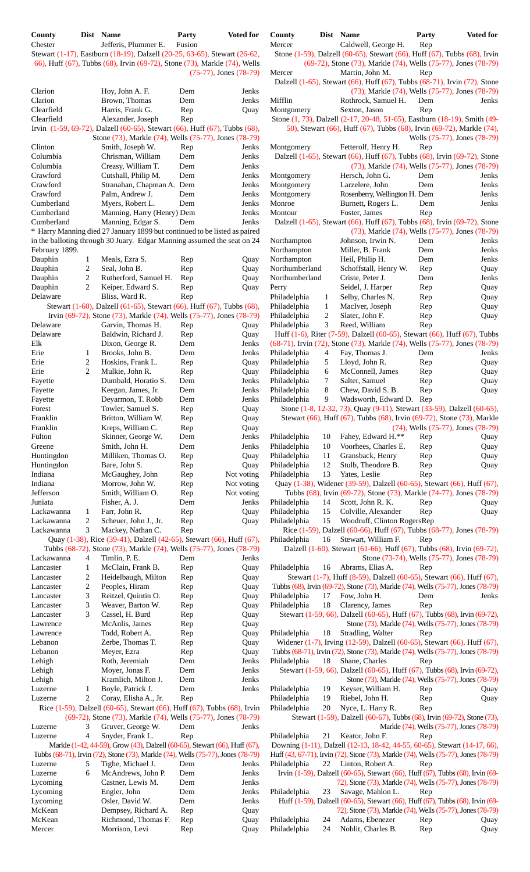| County  | Dist Name            | Party  | <b>Voted for</b> |
|---------|----------------------|--------|------------------|
| Chester | Jefferis, Plummer E. | Fusion |                  |
| $\sim$  | .                    |        |                  |

| Clarion          |                     | Hoy, John A. F.                                                                                 | Dem        | Jenks        |
|------------------|---------------------|-------------------------------------------------------------------------------------------------|------------|--------------|
| Clarion          |                     | Brown, Thomas                                                                                   | Dem        | Jenks        |
| Clearfield       |                     | Harris, Frank G.                                                                                | Rep        | Quay         |
| Clearfield       |                     | Alexander, Joseph<br>Irvin (1-59, 69-72), Dalzell (60-65), Stewart (66), Huff (67), Tubbs (68), | Rep        |              |
|                  |                     | Stone (73), Markle (74), Wells (75-77), Jones (78-79)                                           |            |              |
| Clinton          |                     | Smith, Joseph W.                                                                                | Rep        | Jenks        |
| Columbia         |                     | Chrisman, William                                                                               | Dem        | Jenks        |
| Columbia         |                     | Creasy, William T.                                                                              | Dem        | Jenks        |
| Crawford         |                     | Cutshall, Philip M.                                                                             | Dem        | Jenks        |
| Crawford         |                     | Stranahan, Chapman A. Dem                                                                       |            | Jenks        |
| Crawford         |                     | Palm. Andrew J.                                                                                 | Dem        | Jenks        |
| Cumberland       |                     | Myers, Robert L.                                                                                | Dem        | Jenks        |
| Cumberland       |                     | Manning, Harry (Henry) Dem                                                                      |            | Jenks        |
| Cumberland       |                     | Manning, Edgar S.                                                                               | Dem        | Jenks        |
|                  |                     | * Harry Manning died 27 January 1899 but continued to be listed as paired                       |            |              |
|                  |                     | in the balloting through 30 Juary. Edgar Manning assumed the seat on 24                         |            |              |
| February 1899.   |                     |                                                                                                 |            |              |
| Dauphin          | 1                   | Meals, Ezra S.                                                                                  | Rep        | Quay         |
| Dauphin          | 2                   | Seal, John B.                                                                                   | Rep        | Quay         |
| Dauphin          | 2                   | Rutherford, Samuel H.                                                                           | Rep        | Quay         |
| Dauphin          | 2                   | Keiper, Edward S.                                                                               | Rep        | Quay         |
| Delaware         |                     | Bliss, Ward R.                                                                                  | Rep        |              |
|                  |                     | Stewart (1-60), Dalzell (61-65), Stewart (66), Huff (67), Tubbs (68),                           |            |              |
|                  |                     | Irvin (69-72), Stone (73), Markle (74), Wells (75-77), Jones (78-79)                            |            |              |
| Delaware         |                     | Garvin, Thomas H.                                                                               | Rep        | Quay         |
| Delaware         |                     | Baldwin, Richard J.                                                                             | Rep        | Quay         |
| Elk              |                     |                                                                                                 |            | Jenks        |
|                  |                     | Dixon, George R.                                                                                | Dem        |              |
| Erie             | 1                   | Brooks, John B.                                                                                 | Dem        | Jenks        |
| Erie             | $\overline{c}$      | Hoskins, Frank L.                                                                               | Rep        | Quay         |
| Erie             | 2                   | Mulkie, John R.                                                                                 | Rep        | Quay         |
| Fayette          |                     | Dumbald, Horatio S.                                                                             | Dem        | Jenks        |
| Fayette          |                     | Keegan, James, Jr.                                                                              | Dem        | Jenks        |
| Fayette          |                     | Deyarmon, T. Robb                                                                               | Dem        | Jenks        |
| Forest           |                     | Towler, Samuel S.                                                                               | Rep        | Quay         |
| Franklin         |                     | Britton, William W.                                                                             | Rep        | Quay         |
| Franklin         |                     | Kreps, William C.                                                                               | Rep        | Quay         |
| Fulton           |                     | Skinner, George W.                                                                              | Dem        | Jenks        |
| Greene           |                     | Smith, John H.                                                                                  | Dem        | Jenks        |
| Huntingdon       |                     | Milliken, Thomas O.                                                                             | Rep        | Quay         |
| Huntingdon       |                     | Bare, John S.                                                                                   | Rep        | Quay         |
| Indiana          |                     | McGaughey, John                                                                                 | Rep        | Not voting   |
|                  |                     |                                                                                                 |            |              |
| Indiana          |                     | Morrow, John W.                                                                                 | Rep        | Not voting   |
| Jefferson        |                     | Smith, William O.                                                                               | Rep        | Not voting   |
| Juniata          |                     | Fisher, A. J.                                                                                   | Dem        | Jenks        |
| Lackawanna       | 1                   | Farr, John R.                                                                                   | Rep        | Quay         |
| Lackawanna       | 2                   | Scheuer, John J., Jr.                                                                           | Rep        | Quay         |
| Lackawanna       | 3                   | Mackey, Nathan C.                                                                               | Rep        |              |
|                  |                     | Quay (1-38), Rice (39-41), Dalzell (42-65), Stewart (66), Huff (67),                            |            |              |
|                  |                     | Tubbs (68-72), Stone (73), Markle (74), Wells (75-77), Jones (78-79)                            |            |              |
| Lackawanna       | 4                   | Timlin, P. E.                                                                                   | Dem        | Jenks        |
| Lancaster        | 1                   |                                                                                                 | Rep        |              |
| Lancaster        |                     | McClain, Frank B.                                                                               |            | Quay         |
| Lancaster        | $\overline{c}$      | Heidelbaugh, Milton                                                                             | Rep        | Quay         |
| Lancaster        | $\overline{c}$<br>3 | Peoples, Hiram                                                                                  | Rep        | Quay         |
|                  |                     | Reitzel, Quintin O.                                                                             | Rep        | Quay         |
| Lancaster        | 3<br>3              | Weaver, Barton W.                                                                               | Rep        | Quay         |
| Lancaster        |                     | Cassel, H. Burd                                                                                 | Rep        | Quay         |
| Lawrence         |                     | McAnlis, James                                                                                  | Rep        | Quay         |
| Lawrence         |                     | Todd, Robert A.                                                                                 | Rep        | Quay         |
| Lebanon          |                     | Zerbe, Thomas T.                                                                                | Rep        | Quay         |
| Lebanon          |                     | Meyer, Ezra                                                                                     | Rep        | Quay         |
| Lehigh           |                     | Roth, Jeremiah                                                                                  | Dem        | Jenks        |
| Lehigh           |                     | Moyer, Jonas F.                                                                                 | Dem        | Jenks        |
| Lehigh           |                     | Kramlich, Milton J.                                                                             | Dem        | Jenks        |
| Luzerne          | 1                   | Boyle, Patrick J.                                                                               | Dem        | Jenks        |
| Luzerne          | 2                   | Coray, Elisha A., Jr.                                                                           | Rep        |              |
|                  |                     | Rice (1-59), Dalzell (60-65), Stewart (66), Huff (67), Tubbs (68), Irvin                        |            |              |
|                  |                     | (69-72), Stone (73), Markle (74), Wells (75-77), Jones (78-79)                                  |            |              |
| Luzerne          | 3                   | Gruver, George W.                                                                               | Dem        | Jenks        |
| Luzerne          | $\overline{4}$      | Snyder, Frank L.                                                                                | Rep        |              |
|                  |                     | Markle (1-42, 44-59), Grow (43), Dalzell (60-65), Stewart (66), Huff (67),                      |            |              |
|                  |                     | Tubbs (68-71), Irvin (72), Stone (73), Markle (74), Wells (75-77), Jones (78-79)                |            |              |
| Luzerne          | 5                   | Tighe, Michael J.                                                                               | Dem        | Jenks        |
| Luzerne          | 6                   | McAndrews, John P.                                                                              | Dem        | Jenks        |
| Lycoming         |                     | Castner, Lewis M.                                                                               | Dem        | Jenks        |
| Lycoming         |                     | Engler, John                                                                                    | Dem        | Jenks        |
| Lycoming         |                     | Osler, David W.                                                                                 | Dem        | Jenks        |
| McKean           |                     | Dempsey, Richard A.                                                                             | Rep        | Quay         |
| McKean<br>Mercer |                     | Richmond, Thomas F.<br>Morrison, Levi                                                           | Rep<br>Rep | Quay<br>Quay |

| County<br>Chester        |                     | Dist Name<br>Jefferis, Plummer E.                                                                                                                      | Party<br>Fusion             | <b>Voted for</b> | County<br>Mercer              |                  | Dist Name<br>Caldwell, George H.         | <b>Voted for</b><br><b>Party</b><br>Rep                                                                                                                           |
|--------------------------|---------------------|--------------------------------------------------------------------------------------------------------------------------------------------------------|-----------------------------|------------------|-------------------------------|------------------|------------------------------------------|-------------------------------------------------------------------------------------------------------------------------------------------------------------------|
|                          |                     | Stewart (1-17), Eastburn (18-19), Dalzell (20-25, 63-65), Stewart (26-62,<br>66), Huff (67), Tubbs (68), Irvin (69-72), Stone (73), Markle (74), Wells |                             |                  |                               |                  |                                          | Stone (1-59), Dalzell (60-65), Stewart (66), Huff (67), Tubbs (68), Irvin<br>(69-72), Stone (73), Markle (74), Wells (75-77), Jones (78-79)                       |
| Clarion                  |                     |                                                                                                                                                        | $(75-77)$ , Jones $(78-79)$ | Jenks            | Mercer                        |                  | Martin, John M.                          | Rep<br>Dalzell (1-65), Stewart (66), Huff (67), Tubbs (68-71), Irvin (72), Stone                                                                                  |
| Clarion                  |                     | Hoy, John A. F.<br>Brown, Thomas                                                                                                                       | Dem<br>Dem                  | Jenks            | Mifflin                       |                  | Rothrock, Samuel H.                      | (73), Markle (74), Wells (75-77), Jones (78-79)<br>Dem<br>Jenks                                                                                                   |
| Clearfield               |                     | Harris, Frank G.                                                                                                                                       | Rep                         | Quay             | Montgomery                    |                  | Sexton, Jason                            | Rep                                                                                                                                                               |
| Clearfield               |                     | Alexander, Joseph                                                                                                                                      | Rep                         |                  |                               |                  |                                          | Stone (1, 73), Dalzell (2-17, 20-48, 51-65), Eastburn (18-19), Smith (49-                                                                                         |
|                          |                     | Irvin (1-59, 69-72), Dalzell (60-65), Stewart (66), Huff (67), Tubbs (68),<br>Stone (73), Markle (74), Wells (75-77), Jones (78-79)                    |                             |                  |                               |                  |                                          | 50), Stewart (66), Huff (67), Tubbs (68), Irvin (69-72), Markle (74),<br>Wells (75-77), Jones (78-79)                                                             |
| Clinton                  |                     | Smith, Joseph W.                                                                                                                                       | Rep                         | Jenks            | Montgomery                    |                  | Fetterolf, Henry H.                      | Rep                                                                                                                                                               |
| Columbia                 |                     | Chrisman, William                                                                                                                                      | Dem                         | Jenks            |                               |                  |                                          | Dalzell (1-65), Stewart (66), Huff (67), Tubbs (68), Irvin (69-72), Stone                                                                                         |
| Columbia<br>Crawford     |                     | Creasy, William T.                                                                                                                                     | Dem<br>Dem                  | Jenks            |                               |                  | Hersch, John G.                          | (73), Markle (74), Wells (75-77), Jones (78-79)                                                                                                                   |
| Crawford                 |                     | Cutshall, Philip M.<br>Stranahan, Chapman A. Dem                                                                                                       |                             | Jenks<br>Jenks   | Montgomery<br>Montgomery      |                  | Larzelere, John                          | Dem<br>Jenks<br>Dem<br>Jenks                                                                                                                                      |
| Crawford                 |                     | Palm, Andrew J.                                                                                                                                        | Dem                         | Jenks            | Montgomery                    |                  | Rosenberry, Wellington H. Dem            | Jenks                                                                                                                                                             |
| Cumberland               |                     | Myers, Robert L.                                                                                                                                       | Dem                         | Jenks            | Monroe                        |                  | Burnett, Rogers L.                       | Dem<br>Jenks                                                                                                                                                      |
| Cumberland               |                     | Manning, Harry (Henry) Dem                                                                                                                             |                             | Jenks            | Montour                       |                  | Foster, James                            | Rep                                                                                                                                                               |
| Cumberland               |                     | Manning, Edgar S.                                                                                                                                      | Dem                         | Jenks            |                               |                  |                                          | Dalzell (1-65), Stewart (66), Huff (67), Tubbs (68), Irvin (69-72), Stone                                                                                         |
|                          |                     | * Harry Manning died 27 January 1899 but continued to be listed as paired                                                                              |                             |                  |                               |                  |                                          | (73), Markle (74), Wells (75-77), Jones (78-79)                                                                                                                   |
|                          |                     | in the balloting through 30 Juary. Edgar Manning assumed the seat on 24                                                                                |                             |                  | Northampton                   |                  | Johnson, Irwin N.                        | Dem<br>Jenks                                                                                                                                                      |
| February 1899.           |                     |                                                                                                                                                        |                             |                  | Northampton                   |                  | Miller, B. Frank                         | Dem<br>Jenks                                                                                                                                                      |
| Dauphin<br>Dauphin       | 1<br>$\overline{c}$ | Meals, Ezra S.<br>Seal, John B.                                                                                                                        | Rep<br>Rep                  | Quay<br>Quay     | Northampton<br>Northumberland |                  | Heil, Philip H.<br>Schoffstall, Henry W. | Dem<br>Jenks<br>Rep<br>Quay                                                                                                                                       |
| Dauphin                  | 2                   | Rutherford, Samuel H.                                                                                                                                  | Rep                         | Quay             | Northumberland                |                  | Criste, Peter J.                         | Jenks<br>Dem                                                                                                                                                      |
| Dauphin                  | 2                   | Keiper, Edward S.                                                                                                                                      | Rep                         | Quay             | Perry                         |                  | Seidel, J. Harper                        | Rep<br>Quay                                                                                                                                                       |
| Delaware                 |                     | Bliss, Ward R.                                                                                                                                         | Rep                         |                  | Philadelphia                  | $\mathbf{1}$     | Selby, Charles N.                        | Rep<br>Quay                                                                                                                                                       |
|                          |                     | Stewart (1-60), Dalzell (61-65), Stewart (66), Huff (67), Tubbs (68),                                                                                  |                             |                  | Philadelphia                  | $\mathbf{1}$     | MacIver, Joseph                          | Rep<br>Quay                                                                                                                                                       |
|                          |                     | Irvin (69-72), Stone (73), Markle (74), Wells (75-77), Jones (78-79)                                                                                   |                             |                  | Philadelphia                  | $\boldsymbol{2}$ | Slater, John F.                          | Rep<br>Quay                                                                                                                                                       |
| Delaware                 |                     | Garvin, Thomas H.                                                                                                                                      | Rep                         | Quay             | Philadelphia                  | 3                | Reed, William                            | Rep                                                                                                                                                               |
| Delaware                 |                     | Baldwin, Richard J.                                                                                                                                    | Rep                         | Quay             |                               |                  |                                          | Huff (1-6), Riter (7-59), Dalzell (60-65), Stewart (66), Huff (67), Tubbs                                                                                         |
| Elk                      |                     | Dixon, George R.                                                                                                                                       | Dem                         | Jenks            |                               |                  |                                          | (68-71), Irvin (72), Stone (73), Markle (74), Wells (75-77), Jones (78-79)                                                                                        |
| Erie<br>Erie             | 1<br>$\overline{c}$ | Brooks, John B.<br>Hoskins, Frank L.                                                                                                                   | Dem<br>Rep                  | Jenks            | Philadelphia<br>Philadelphia  | 4<br>5           | Fay, Thomas J.<br>Lloyd, John R.         | Dem<br>Jenks<br>Rep                                                                                                                                               |
| Erie                     | 2                   | Mulkie, John R.                                                                                                                                        | Rep                         | Quay<br>Quay     | Philadelphia                  | 6                | McConnell, James                         | Quay<br>Rep<br>Quay                                                                                                                                               |
| Fayette                  |                     | Dumbald, Horatio S.                                                                                                                                    | Dem                         | Jenks            | Philadelphia                  | 7                | Salter, Samuel                           | Rep<br>Quay                                                                                                                                                       |
| Fayette                  |                     | Keegan, James, Jr.                                                                                                                                     | Dem                         | Jenks            | Philadelphia                  | 8                | Chew, David S. B.                        | Rep<br>Quay                                                                                                                                                       |
| Fayette                  |                     | Deyarmon, T. Robb                                                                                                                                      | Dem                         | Jenks            | Philadelphia                  | 9                | Wadsworth, Edward D. Rep                 |                                                                                                                                                                   |
| Forest                   |                     | Towler, Samuel S.                                                                                                                                      | Rep                         | Quay             |                               |                  |                                          | Stone (1-8, 12-32, 73), Quay (9-11), Stewart (33-59), Dalzell (60-65),                                                                                            |
| Franklin                 |                     | Britton, William W.                                                                                                                                    | Rep                         | Quay             |                               |                  |                                          | Stewart (66), Huff (67), Tubbs (68), Irvin (69-72), Stone (73), Markle                                                                                            |
| Franklin                 |                     | Kreps, William C.                                                                                                                                      | Rep                         | Quay             |                               |                  |                                          | (74), Wells (75-77), Jones (78-79)                                                                                                                                |
| Fulton                   |                     | Skinner, George W.                                                                                                                                     | Dem                         | Jenks            | Philadelphia                  | 10               | Fahey, Edward H.**                       | Rep<br>Quay                                                                                                                                                       |
| Greene                   |                     | Smith, John H.                                                                                                                                         | Dem                         | Jenks            | Philadelphia                  | 10               | Voorhees, Charles E.                     | Rep<br>Quay                                                                                                                                                       |
| Huntingdon<br>Huntingdon |                     | Milliken, Thomas O.<br>Bare, John S.                                                                                                                   | Rep<br>Rep                  | Quay<br>Quay     | Philadelphia<br>Philadelphia  | 11<br>12         | Gransback, Henry<br>Stulb, Theodore B.   | Rep<br>Quay<br>Rep<br>Quay                                                                                                                                        |
| Indiana                  |                     | McGaughey, John                                                                                                                                        | Rep                         | Not voting       | Philadelphia                  | 13               | Yates, Leslie                            | Rep                                                                                                                                                               |
| Indiana                  |                     | Morrow, John W.                                                                                                                                        | Rep                         | Not voting       |                               |                  |                                          | Quay (1-38), Widener (39-59), Dalzell (60-65), Stewart (66), Huff (67),                                                                                           |
| Jefferson                |                     | Smith, William O.                                                                                                                                      | Rep                         | Not voting       |                               |                  |                                          | Tubbs (68), Irvin (69-72), Stone (73), Markle (74-77), Jones (78-79)                                                                                              |
| Juniata                  |                     | Fisher, A. J.                                                                                                                                          | Dem                         | Jenks            | Philadelphia                  | 14               | Scott, John R. K.                        | Rep<br>Quay                                                                                                                                                       |
| Lackawanna               | 1                   | Farr, John R.                                                                                                                                          | Rep                         | Quay             | Philadelphia                  | 15               | Colville, Alexander                      | Rep<br>Quay                                                                                                                                                       |
| Lackawanna               | $\overline{c}$      | Scheuer, John J., Jr.                                                                                                                                  | Rep                         | Quay             | Philadelphia                  | 15               | Woodruff, Clinton RogersRep              |                                                                                                                                                                   |
| Lackawanna               | 3                   | Mackey, Nathan C.                                                                                                                                      | Rep                         |                  |                               |                  |                                          | Rice $(1-59)$ , Dalzell $(60-66)$ , Huff $(67)$ , Tubbs $(68-77)$ , Jones $(78-79)$                                                                               |
|                          |                     | Quay (1-38), Rice (39-41), Dalzell (42-65), Stewart (66), Huff (67),                                                                                   |                             |                  | Philadelphia                  | 16               | Stewart, William F.                      | Rep                                                                                                                                                               |
| Lackawanna               | 4                   | Tubbs (68-72), Stone (73), Markle (74), Wells (75-77), Jones (78-79)<br>Timlin, P. E.                                                                  | Dem                         | Jenks            |                               |                  |                                          | Dalzell (1-60), Stewart (61-66), Huff (67), Tubbs (68), Irvin (69-72),<br>Stone (73-74), Wells (75-77), Jones (78-79)                                             |
| Lancaster                | $\mathbf{1}$        | McClain, Frank B.                                                                                                                                      | Rep                         | Quay             | Philadelphia                  | 16               | Abrams, Elias A.                         | Rep                                                                                                                                                               |
| Lancaster                | $\overline{c}$      | Heidelbaugh, Milton                                                                                                                                    | Rep                         | Quay             |                               |                  |                                          | Stewart (1-7), Huff (8-59), Dalzell (60-65), Stewart (66), Huff (67),                                                                                             |
| Lancaster                | $\overline{c}$      | Peoples, Hiram                                                                                                                                         | Rep                         | Quay             |                               |                  |                                          | Tubbs (68), Irvin (69-72), Stone (73), Markle (74), Wells (75-77), Jones (78-79)                                                                                  |
| Lancaster                | 3                   | Reitzel, Quintin O.                                                                                                                                    | Rep                         | Quay             | Philadelphia                  | 17               | Fow, John H.                             | Dem<br>Jenks                                                                                                                                                      |
| Lancaster                | 3                   | Weaver, Barton W.                                                                                                                                      | Rep                         | Quay             | Philadelphia                  | 18               | Clarency, James                          | Rep                                                                                                                                                               |
| Lancaster                | 3                   | Cassel, H. Burd                                                                                                                                        | Rep                         | Quay             |                               |                  |                                          | Stewart (1-59, 66), Dalzell (60-65), Huff (67), Tubbs (68), Irvin (69-72),                                                                                        |
| Lawrence                 |                     | McAnlis, James                                                                                                                                         | Rep                         | Quay             |                               |                  |                                          | Stone (73), Markle (74), Wells (75-77), Jones (78-79)                                                                                                             |
| Lawrence                 |                     | Todd, Robert A.                                                                                                                                        | Rep                         | Quay             | Philadelphia                  | 18               | Stradling, Walter                        | Rep                                                                                                                                                               |
| Lebanon<br>Lebanon       |                     | Zerbe, Thomas T.<br>Meyer, Ezra                                                                                                                        | Rep<br>Rep                  | Quay<br>Quay     |                               |                  |                                          | Widener (1-7), Irving (12-59), Dalzell (60-65), Stewart (66), Huff (67),<br>Tubbs (68-71), Irvin (72), Stone (73), Markle (74), Wells (75-77), Jones (78-79)      |
| Lehigh                   |                     | Roth, Jeremiah                                                                                                                                         | Dem                         | Jenks            | Philadelphia                  | 18               | Shane, Charles                           | Rep                                                                                                                                                               |
| Lehigh                   |                     | Moyer, Jonas F.                                                                                                                                        | Dem                         | Jenks            |                               |                  |                                          | Stewart (1-59, 66), Dalzell (60-65), Huff (67), Tubbs (68), Irvin (69-72),                                                                                        |
| Lehigh                   |                     | Kramlich, Milton J.                                                                                                                                    | Dem                         | Jenks            |                               |                  |                                          | Stone (73), Markle (74), Wells (75-77), Jones (78-79)                                                                                                             |
| Luzerne                  | 1                   | Boyle, Patrick J.                                                                                                                                      | Dem                         | Jenks            | Philadelphia                  | 19               | Keyser, William H.                       | Rep<br>Quay                                                                                                                                                       |
| Luzerne                  | 2                   | Coray, Elisha A., Jr.                                                                                                                                  | Rep                         |                  | Philadelphia                  | 19               | Riebel, John H.                          | Rep<br>Quay                                                                                                                                                       |
|                          |                     | Rice (1-59), Dalzell (60-65), Stewart (66), Huff (67), Tubbs (68), Irvin                                                                               |                             |                  | Philadelphia                  | 20               | Nyce, L. Harry R.                        | Rep                                                                                                                                                               |
|                          |                     | (69-72), Stone (73), Markle (74), Wells (75-77), Jones (78-79)                                                                                         |                             |                  |                               |                  |                                          | Stewart (1-59), Dalzell (60-67), Tubbs (68), Irvin (69-72), Stone (73),                                                                                           |
| Luzerne                  | 3                   | Gruver, George W.                                                                                                                                      | Dem                         | Jenks            |                               |                  |                                          | Markle (74), Wells (75-77), Jones (78-79)                                                                                                                         |
| Luzerne                  | 4                   | Snyder, Frank L.<br>Markle (1-42, 44-59), Grow (43), Dalzell (60-65), Stewart (66), Huff (67),                                                         | Rep                         |                  | Philadelphia                  | 21               | Keator, John F.                          | Rep                                                                                                                                                               |
|                          |                     | Tubbs (68-71), Irvin (72), Stone (73), Markle (74), Wells (75-77), Jones (78-79)                                                                       |                             |                  |                               |                  |                                          | Downing (1-11), Dalzell (12-13, 18-42, 44-55, 60-65), Stewart (14-17, 66),<br>Huff (43, 67-71), Irvin (72), Stone (73), Markle (74), Wells (75-77), Jones (78-79) |
| Luzerne                  | 5                   | Tighe, Michael J.                                                                                                                                      | Dem                         | Jenks            | Philadelphia                  |                  | 22 Linton, Robert A.                     | Rep                                                                                                                                                               |
| Luzerne                  | 6                   | McAndrews, John P.                                                                                                                                     | Dem                         | Jenks            |                               |                  |                                          | Irvin (1-59), Dalzell (60-65), Stewart (66), Huff (67), Tubbs (68), Irvin (69-                                                                                    |
| Lycoming                 |                     | Castner, Lewis M.                                                                                                                                      | Dem                         | Jenks            |                               |                  |                                          | 72), Stone (73), Markle (74), Wells (75-77), Jones (78-79)                                                                                                        |
| Lycoming                 |                     | Engler, John                                                                                                                                           | Dem                         | Jenks            | Philadelphia                  | 23               | Savage, Mahlon L.                        | Rep                                                                                                                                                               |
| Lycoming                 |                     | Osler, David W.                                                                                                                                        | Dem                         | Jenks            |                               |                  |                                          | Huff (1-59), Dalzell (60-65), Stewart (66), Huff (67), Tubbs (68), Irvin (69-                                                                                     |
| McKean                   |                     | Dempsey, Richard A.                                                                                                                                    | Rep                         | Quay             |                               |                  |                                          | 72), Stone (73), Markle (74), Wells (75-77), Jones (78-79)                                                                                                        |
| McKean                   |                     | Richmond, Thomas F.                                                                                                                                    | Rep                         | Quay             | Philadelphia                  | 24               | Adams, Ebenezer                          | Rep<br>Quay                                                                                                                                                       |
| Mercer                   |                     | Morrison, Levi                                                                                                                                         | Rep                         | Quay             | Philadelphia                  | 24               | Noblit, Charles B.                       | Rep<br>Quay                                                                                                                                                       |